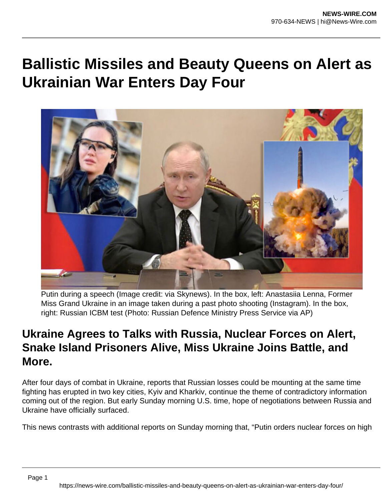## **Ballistic Missiles and Beauty Queens on Alert as Ukrainian War Enters Day Four**



Putin during a speech (Image credit: via Skynews). In the box, left: Anastasiia Lenna, Former Miss Grand Ukraine in an image taken during a past photo shooting (Instagram). In the box, right: Russian ICBM test (Photo: Russian Defence Ministry Press Service via AP)

## **Ukraine Agrees to Talks with Russia, Nuclear Forces on Alert, Snake Island Prisoners Alive, Miss Ukraine Joins Battle, and More.**

After four days of combat in Ukraine, reports that Russian losses could be mounting at the same time fighting has erupted in two key cities, Kyiv and Kharkiv, continue the theme of contradictory information coming out of the region. But early Sunday morning U.S. time, hope of negotiations between Russia and Ukraine have officially surfaced.

This news contrasts with additional reports on Sunday morning that, "Putin orders nuclear forces on high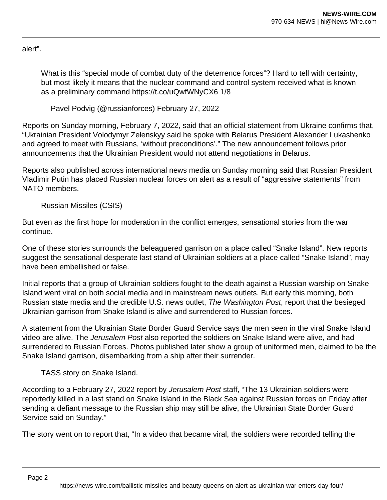alert".

What is this "special mode of combat duty of the deterrence forces"? Hard to tell with certainty, but most likely it means that the nuclear command and control system received what is known as a preliminary command https://t.co/uQwfWNyCX6 1/8

— Pavel Podvig (@russianforces) February 27, 2022

Reports on Sunday morning, February 7, 2022, said that an official statement from Ukraine confirms that, "Ukrainian President Volodymyr Zelenskyy said he spoke with Belarus President Alexander Lukashenko and agreed to meet with Russians, 'without preconditions'." The new announcement follows prior announcements that the Ukrainian President would not attend negotiations in Belarus.

Reports also published across international news media on Sunday morning said that Russian President Vladimir Putin has placed Russian nuclear forces on alert as a result of "aggressive statements" from NATO members.

Russian Missiles (CSIS)

But even as the first hope for moderation in the conflict emerges, sensational stories from the war continue.

One of these stories surrounds the beleaguered garrison on a place called "Snake Island". New reports suggest the sensational desperate last stand of Ukrainian soldiers at a place called "Snake Island", may have been embellished or false.

Initial reports that a group of Ukrainian soldiers fought to the death against a Russian warship on Snake Island went viral on both social media and in mainstream news outlets. But early this morning, both Russian state media and the credible U.S. news outlet, The Washington Post, report that the besieged Ukrainian garrison from Snake Island is alive and surrendered to Russian forces.

A statement from the Ukrainian State Border Guard Service says the men seen in the viral Snake Island video are alive. The Jerusalem Post also reported the soldiers on Snake Island were alive, and had surrendered to Russian Forces. Photos published later show a group of uniformed men, claimed to be the Snake Island garrison, disembarking from a ship after their surrender.

TASS story on Snake Island.

According to a February 27, 2022 report by Jerusalem Post staff, "The 13 Ukrainian soldiers were reportedly killed in a last stand on Snake Island in the Black Sea against Russian forces on Friday after sending a defiant message to the Russian ship may still be alive, the Ukrainian State Border Guard Service said on Sunday."

The story went on to report that, "In a video that became viral, the soldiers were recorded telling the

Page 2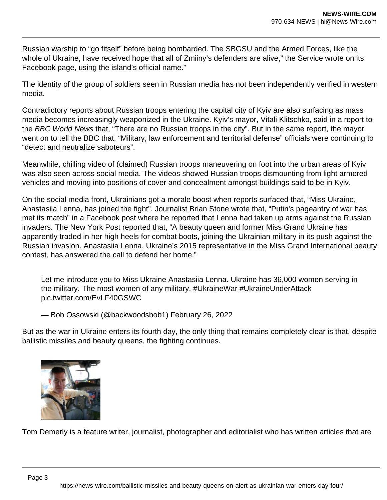Russian warship to "go fitself" before being bombarded. The SBGSU and the Armed Forces, like the whole of Ukraine, have received hope that all of Zmiiny's defenders are alive," the Service wrote on its Facebook page, using the island's official name."

The identity of the group of soldiers seen in Russian media has not been independently verified in western media.

Contradictory reports about Russian troops entering the capital city of Kyiv are also surfacing as mass media becomes increasingly weaponized in the Ukraine. Kyiv's mayor, Vitali Klitschko, said in a report to the BBC World News that, "There are no Russian troops in the city". But in the same report, the mayor went on to tell the BBC that, "Military, law enforcement and territorial defense" officials were continuing to "detect and neutralize saboteurs".

Meanwhile, chilling video of (claimed) Russian troops maneuvering on foot into the urban areas of Kyiv was also seen across social media. The videos showed Russian troops dismounting from light armored vehicles and moving into positions of cover and concealment amongst buildings said to be in Kyiv.

On the social media front, Ukrainians got a morale boost when reports surfaced that, "Miss Ukraine, Anastasiia Lenna, has joined the fight". Journalist Brian Stone wrote that, "Putin's pageantry of war has met its match" in a Facebook post where he reported that Lenna had taken up arms against the Russian invaders. The New York Post reported that, "A beauty queen and former Miss Grand Ukraine has apparently traded in her high heels for combat boots, joining the Ukrainian military in its push against the Russian invasion. Anastasiia Lenna, Ukraine's 2015 representative in the Miss Grand International beauty contest, has answered the call to defend her home."

Let me introduce you to Miss Ukraine Anastasiia Lenna. Ukraine has 36,000 women serving in the military. The most women of any military. #UkraineWar #UkraineUnderAttack pic.twitter.com/EvLF40GSWC

— Bob Ossowski (@backwoodsbob1) February 26, 2022

But as the war in Ukraine enters its fourth day, the only thing that remains completely clear is that, despite ballistic missiles and beauty queens, the fighting continues.



Tom Demerly is a feature writer, journalist, photographer and editorialist who has written articles that are